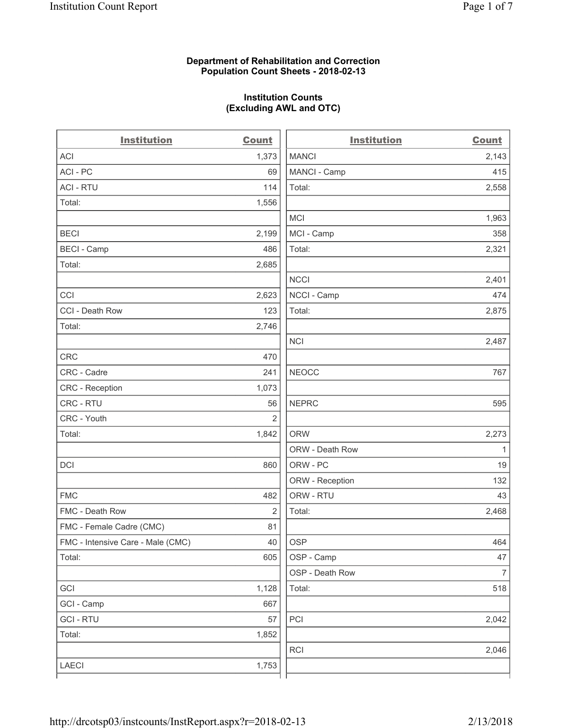### **Department of Rehabilitation and Correction Population Count Sheets - 2018-02-13**

# **Institution Counts (Excluding AWL and OTC)**

. .

| <b>Institution</b>                | <b>Count</b> | <b>Institution</b> | <b>Count</b>             |
|-----------------------------------|--------------|--------------------|--------------------------|
| ACI                               | 1,373        | <b>MANCI</b>       | 2,143                    |
| ACI - PC                          | 69           | MANCI - Camp       | 415                      |
| <b>ACI - RTU</b>                  | 114          | Total:             | 2,558                    |
| Total:                            | 1,556        |                    |                          |
|                                   |              | <b>MCI</b>         | 1,963                    |
| <b>BECI</b>                       | 2,199        | MCI - Camp         | 358                      |
| <b>BECI</b> - Camp                | 486          | Total:             | 2,321                    |
| Total:                            | 2,685        |                    |                          |
|                                   |              | <b>NCCI</b>        | 2,401                    |
| CCI                               | 2,623        | NCCI - Camp        | 474                      |
| CCI - Death Row                   | 123          | Total:             | 2,875                    |
| Total:                            | 2,746        |                    |                          |
|                                   |              | <b>NCI</b>         | 2,487                    |
| <b>CRC</b>                        | 470          |                    |                          |
| CRC - Cadre                       | 241          | <b>NEOCC</b>       | 767                      |
| CRC - Reception                   | 1,073        |                    |                          |
| CRC - RTU                         | 56           | <b>NEPRC</b>       | 595                      |
| CRC - Youth                       | 2            |                    |                          |
| Total:                            | 1,842        | <b>ORW</b>         | 2,273                    |
|                                   |              | ORW - Death Row    | 1                        |
| DCI                               | 860          | ORW - PC           | 19                       |
|                                   |              | ORW - Reception    | 132                      |
| <b>FMC</b>                        | 482          | ORW - RTU          | 43                       |
| FMC - Death Row                   | 2            | Total:             | 2,468                    |
| FMC - Female Cadre (CMC)          | 81           |                    |                          |
| FMC - Intensive Care - Male (CMC) | 40           | <b>OSP</b>         | 464                      |
| Total:                            | 605          | OSP - Camp         | 47                       |
|                                   |              | OSP - Death Row    | $\overline{\mathcal{I}}$ |
| GCI                               | 1,128        | Total:             | 518                      |
| GCI - Camp                        | 667          |                    |                          |
| <b>GCI-RTU</b>                    | 57           | PCI                | 2,042                    |
| Total:                            | 1,852        |                    |                          |
|                                   |              | RCI                | 2,046                    |
| LAECI                             | 1,753        |                    |                          |
|                                   |              |                    |                          |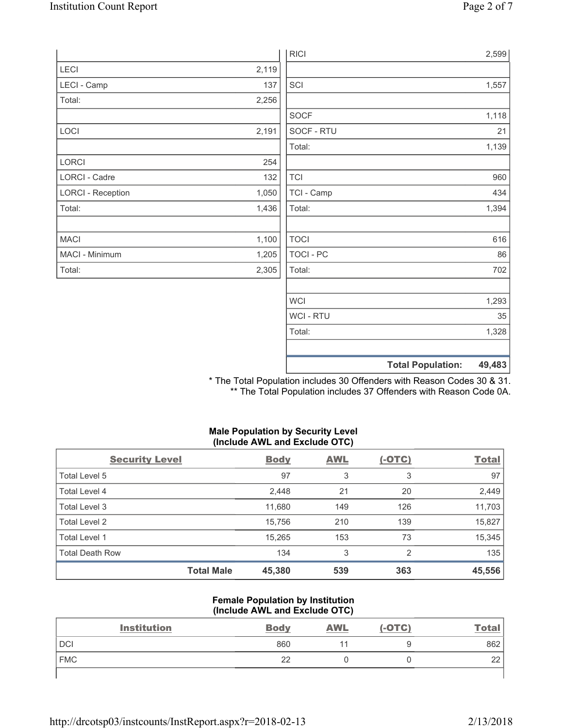|                          |       | <b>RICI</b> | 2,599                              |
|--------------------------|-------|-------------|------------------------------------|
| <b>LECI</b>              | 2,119 |             |                                    |
| LECI - Camp              | 137   | SCI         | 1,557                              |
| Total:                   | 2,256 |             |                                    |
|                          |       | SOCF        | 1,118                              |
| LOCI                     | 2,191 | SOCF - RTU  | 21                                 |
|                          |       | Total:      | 1,139                              |
| LORCI                    | 254   |             |                                    |
| LORCI - Cadre            | 132   | <b>TCI</b>  | 960                                |
| <b>LORCI - Reception</b> | 1,050 | TCI - Camp  | 434                                |
| Total:                   | 1,436 | Total:      | 1,394                              |
|                          |       |             |                                    |
| <b>MACI</b>              | 1,100 | <b>TOCI</b> | 616                                |
| MACI - Minimum           | 1,205 | TOCI - PC   | 86                                 |
| Total:                   | 2,305 | Total:      | 702                                |
|                          |       |             |                                    |
|                          |       | <b>WCI</b>  | 1,293                              |
|                          |       | WCI - RTU   | 35                                 |
|                          |       | Total:      | 1,328                              |
|                          |       |             |                                    |
|                          |       |             | <b>Total Population:</b><br>49,483 |

\* The Total Population includes 30 Offenders with Reason Codes 30 & 31. \*\* The Total Population includes 37 Offenders with Reason Code 0A.

### **Male Population by Security Level (Include AWL and Exclude OTC)**

| <b>Security Level</b>  |                   | <b>Body</b> | <b>AWL</b> | $(-OTC)$ | <b>Total</b> |
|------------------------|-------------------|-------------|------------|----------|--------------|
| Total Level 5          |                   | 97          | 3          | 3        | 97           |
| Total Level 4          |                   | 2,448       | 21         | 20       | 2,449        |
| Total Level 3          |                   | 11,680      | 149        | 126      | 11,703       |
| Total Level 2          |                   | 15,756      | 210        | 139      | 15,827       |
| Total Level 1          |                   | 15,265      | 153        | 73       | 15,345       |
| <b>Total Death Row</b> |                   | 134         | 3          | 2        | 135          |
|                        | <b>Total Male</b> | 45,380      | 539        | 363      | 45,556       |

#### **Female Population by Institution (Include AWL and Exclude OTC)**

| <b>Institution</b> | <b>Body</b> | <b>AWL</b> | $(-OTC)$ | <u>Total</u> |
|--------------------|-------------|------------|----------|--------------|
| <b>DCI</b>         | 860         |            |          | 862          |
| <b>FMC</b>         | 22          |            |          | 22           |
|                    |             |            |          |              |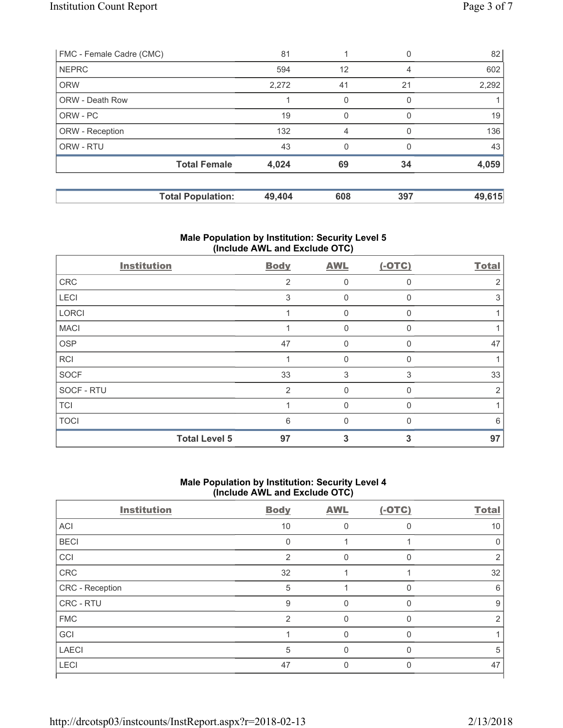| FMC - Female Cadre (CMC) |                          | 81     |          |          | 82     |
|--------------------------|--------------------------|--------|----------|----------|--------|
| <b>NEPRC</b>             |                          | 594    | 12       | 4        | 602    |
| <b>ORW</b>               |                          | 2,272  | 41       | 21       | 2,292  |
| ORW - Death Row          |                          |        | 0        |          |        |
| ORW - PC                 |                          | 19     |          |          | 19     |
| ORW - Reception          |                          | 132    | 4        | O        | 136    |
| ORW - RTU                |                          | 43     | $\Omega$ | $\Omega$ | 43     |
|                          | <b>Total Female</b>      | 4,024  | 69       | 34       | 4,059  |
|                          | <b>Total Population:</b> | 49,404 | 608      | 397      | 49,615 |

## **Male Population by Institution: Security Level 5 (Include AWL and Exclude OTC)**

| <b>Institution</b> |                      | <b>Body</b>    | <b>AWL</b> | $(-OTC)$ | <b>Total</b> |
|--------------------|----------------------|----------------|------------|----------|--------------|
| CRC                |                      | $\overline{2}$ | 0          | O        | 2            |
| LECI               |                      | 3              | $\Omega$   |          | 3            |
| LORCI              |                      |                | 0          |          |              |
| <b>MACI</b>        |                      |                | $\Omega$   |          |              |
| OSP                |                      | 47             | 0          |          | 47           |
| RCI                |                      |                | $\Omega$   | U        |              |
| SOCF               |                      | 33             | 3          | 3        | 33           |
| SOCF - RTU         |                      | $\overline{2}$ | 0          |          | 2            |
| <b>TCI</b>         |                      |                | $\Omega$   |          |              |
| <b>TOCI</b>        |                      | 6              | $\Omega$   |          | 6            |
|                    | <b>Total Level 5</b> | 97             | 3          | 3        | 97           |

#### **Male Population by Institution: Security Level 4 (Include AWL and Exclude OTC)**

| <b>Institution</b> | <b>Body</b>    | <b>AWL</b> | $(-OTC)$ | <b>Total</b> |
|--------------------|----------------|------------|----------|--------------|
| ACI                | 10             | O          | $\Omega$ | 10           |
| <b>BECI</b>        | $\mathbf{0}$   |            |          | 0            |
| CCI                | $\overline{2}$ | $\Omega$   | $\Omega$ | 2            |
| CRC                | 32             |            |          | 32           |
| CRC - Reception    | 5              |            | n        | 6            |
| CRC - RTU          | 9              | U          |          | 9            |
| <b>FMC</b>         | $\overline{2}$ | $\Omega$   | $\Omega$ | 2            |
| GCI                |                | O          | $\Omega$ |              |
| <b>LAECI</b>       | 5              | Ω          | n        | 5            |
| LECI               | 47             |            |          | 47           |
|                    |                |            |          |              |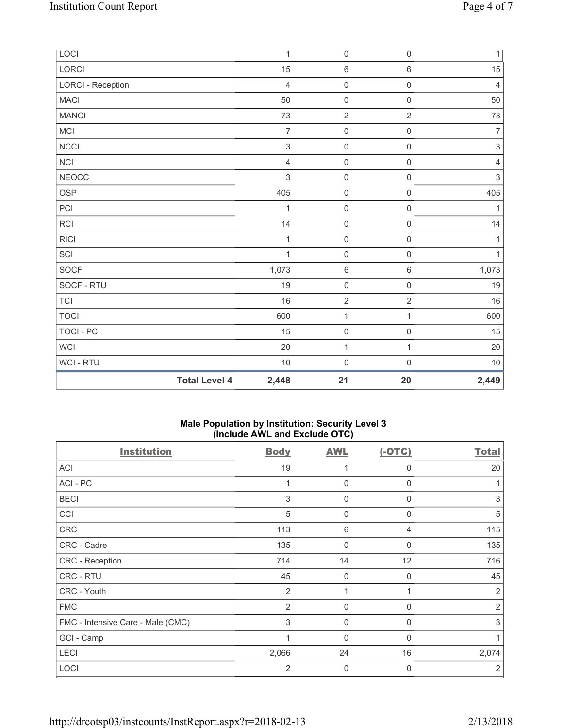| LOCI                     |                      | $\mathbf 1$               | 0                   | $\boldsymbol{0}$    | $\mathbf{1}$              |
|--------------------------|----------------------|---------------------------|---------------------|---------------------|---------------------------|
| <b>LORCI</b>             |                      | 15                        | $\,6\,$             | 6                   | 15                        |
| <b>LORCI - Reception</b> |                      | $\overline{4}$            | $\mathsf{O}\xspace$ | $\mathsf{O}\xspace$ | $\overline{4}$            |
| <b>MACI</b>              |                      | 50                        | $\mathsf{O}\xspace$ | $\mathsf{O}\xspace$ | 50                        |
| <b>MANCI</b>             |                      | 73                        | $\overline{2}$      | $\overline{2}$      | 73                        |
| MCI                      |                      | $\overline{7}$            | $\mathsf{O}\xspace$ | $\mathsf{O}\xspace$ | $\overline{7}$            |
| NCCI                     |                      | $\ensuremath{\mathsf{3}}$ | $\mathsf{O}\xspace$ | $\mathsf{O}\xspace$ | $\ensuremath{\mathsf{3}}$ |
| <b>NCI</b>               |                      | $\overline{4}$            | $\mathsf{O}\xspace$ | $\mathsf{O}\xspace$ | $\overline{4}$            |
| <b>NEOCC</b>             |                      | $\mathsf 3$               | $\mathsf{O}\xspace$ | $\mathsf{O}\xspace$ | $\,$ 3 $\,$               |
| <b>OSP</b>               |                      | 405                       | $\mathsf{O}\xspace$ | $\mathsf{O}\xspace$ | 405                       |
| PCI                      |                      | 1                         | $\mathsf{O}\xspace$ | $\mathsf{O}\xspace$ | 1                         |
| RCI                      |                      | 14                        | $\mathsf{O}\xspace$ | $\mathsf{O}\xspace$ | 14                        |
| <b>RICI</b>              |                      | $\mathbf{1}$              | $\mathsf{O}\xspace$ | $\mathsf{O}\xspace$ | $\mathbf{1}$              |
| SCI                      |                      | $\mathbf{1}$              | $\mathsf{O}\xspace$ | $\mathsf{O}\xspace$ | $\mathbf{1}$              |
| <b>SOCF</b>              |                      | 1,073                     | $\,6\,$             | 6                   | 1,073                     |
| SOCF - RTU               |                      | 19                        | $\mathsf{O}\xspace$ | $\mathsf{O}\xspace$ | 19                        |
| <b>TCI</b>               |                      | 16                        | $\sqrt{2}$          | $\overline{2}$      | 16                        |
| <b>TOCI</b>              |                      | 600                       | $\mathbf 1$         | 1                   | 600                       |
| <b>TOCI - PC</b>         |                      | 15                        | $\mathbf 0$         | $\mathsf{O}\xspace$ | 15                        |
| <b>WCI</b>               |                      | 20                        | 1                   | 1                   | 20                        |
| WCI - RTU                |                      | 10                        | $\mathsf{O}\xspace$ | $\mathsf{O}\xspace$ | 10                        |
|                          | <b>Total Level 4</b> | 2,448                     | 21                  | 20                  | 2,449                     |

# **Male Population by Institution: Security Level 3 (Include AWL and Exclude OTC)**

| <b>Institution</b>                | <b>Body</b>    | <b>AWL</b>  | $(-OTC)$ | <b>Total</b>   |
|-----------------------------------|----------------|-------------|----------|----------------|
| <b>ACI</b>                        | 19             | 1           | 0        | 20             |
| ACI-PC                            |                | 0           | 0        |                |
| <b>BECI</b>                       | 3              | $\mathbf 0$ | 0        | 3              |
| CCI                               | 5              | 0           | 0        | 5              |
| <b>CRC</b>                        | 113            | 6           | 4        | 115            |
| CRC - Cadre                       | 135            | 0           | 0        | 135            |
| CRC - Reception                   | 714            | 14          | 12       | 716            |
| CRC - RTU                         | 45             | 0           | 0        | 45             |
| CRC - Youth                       | $\overline{2}$ | 1           | 1        | 2              |
| <b>FMC</b>                        | $\overline{2}$ | 0           | 0        | $\overline{2}$ |
| FMC - Intensive Care - Male (CMC) | 3              | $\mathbf 0$ | 0        | 3              |
| GCI - Camp                        | 1              | 0           | 0        |                |
| <b>LECI</b>                       | 2,066          | 24          | 16       | 2,074          |
| LOCI                              | 2              | 0           | 0        | 2              |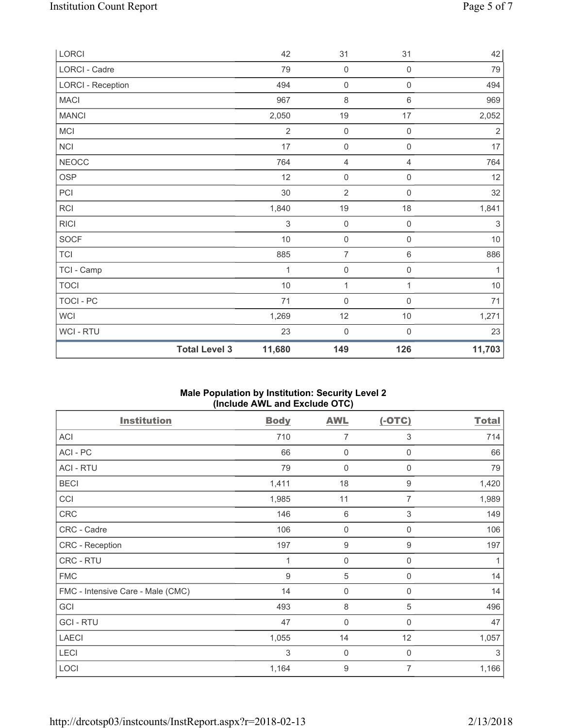| LORCI                    |                      | 42             | 31                  | 31                  | 42          |
|--------------------------|----------------------|----------------|---------------------|---------------------|-------------|
| LORCI - Cadre            |                      | 79             | $\mathbf 0$         | $\mathsf{O}\xspace$ | 79          |
| <b>LORCI - Reception</b> |                      | 494            | $\mathsf{O}\xspace$ | $\mathsf{O}\xspace$ | 494         |
| <b>MACI</b>              |                      | 967            | $\,8\,$             | $\,6\,$             | 969         |
| <b>MANCI</b>             |                      | 2,050          | 19                  | 17                  | 2,052       |
| MCI                      |                      | $\overline{2}$ | $\mathsf{O}\xspace$ | $\mathsf{O}\xspace$ | $\sqrt{2}$  |
| NCI                      |                      | 17             | $\mathsf{O}\xspace$ | $\mathsf{O}\xspace$ | $17\,$      |
| <b>NEOCC</b>             |                      | 764            | $\overline{4}$      | $\overline{4}$      | 764         |
| <b>OSP</b>               |                      | 12             | $\mathbf 0$         | $\mathsf{O}\xspace$ | 12          |
| PCI                      |                      | 30             | $\overline{2}$      | $\mathsf{O}\xspace$ | 32          |
| <b>RCI</b>               |                      | 1,840          | 19                  | 18                  | 1,841       |
| <b>RICI</b>              |                      | 3              | $\mathbf 0$         | $\mathsf{O}\xspace$ | $\,$ 3 $\,$ |
| <b>SOCF</b>              |                      | $10$           | $\mathsf{O}\xspace$ | $\mathsf{O}\xspace$ | $10$        |
| <b>TCI</b>               |                      | 885            | $\overline{7}$      | $\,6\,$             | 886         |
| TCI - Camp               |                      | 1              | $\mathsf 0$         | $\mathsf{O}\xspace$ | 1           |
| <b>TOCI</b>              |                      | 10             | 1                   | 1                   | $10$        |
| TOCI - PC                |                      | 71             | $\mathbf 0$         | $\mathsf 0$         | 71          |
| WCI                      |                      | 1,269          | 12                  | $10$                | 1,271       |
| <b>WCI-RTU</b>           |                      | 23             | $\mathbf 0$         | $\mathsf{O}\xspace$ | 23          |
|                          | <b>Total Level 3</b> | 11,680         | 149                 | 126                 | 11,703      |

### **Male Population by Institution: Security Level 2 (Include AWL and Exclude OTC)**

| <b>Institution</b>                | <b>Body</b> | AWL              | $(-OTC)$                  | <b>Total</b> |
|-----------------------------------|-------------|------------------|---------------------------|--------------|
| <b>ACI</b>                        | 710         | 7                | 3                         | 714          |
| ACI - PC                          | 66          | 0                | 0                         | 66           |
| <b>ACI - RTU</b>                  | 79          | $\mathbf 0$      | $\mathbf 0$               | 79           |
| <b>BECI</b>                       | 1,411       | 18               | 9                         | 1,420        |
| CCI                               | 1,985       | 11               | 7                         | 1,989        |
| CRC                               | 146         | $\,6$            | $\ensuremath{\mathsf{3}}$ | 149          |
| CRC - Cadre                       | 106         | 0                | 0                         | 106          |
| CRC - Reception                   | 197         | $\boldsymbol{9}$ | $\boldsymbol{9}$          | 197          |
| CRC - RTU                         | 1           | $\mathbf 0$      | 0                         | 1            |
| <b>FMC</b>                        | $9\,$       | $\sqrt{5}$       | $\mathbf 0$               | 14           |
| FMC - Intensive Care - Male (CMC) | 14          | $\mathbf 0$      | 0                         | 14           |
| GCI                               | 493         | 8                | 5                         | 496          |
| <b>GCI-RTU</b>                    | 47          | $\mathbf 0$      | $\mathbf 0$               | 47           |
| <b>LAECI</b>                      | 1,055       | 14               | 12                        | 1,057        |
| LECI                              | 3           | 0                | 0                         | 3            |
| LOCI                              | 1,164       | 9                | 7                         | 1,166        |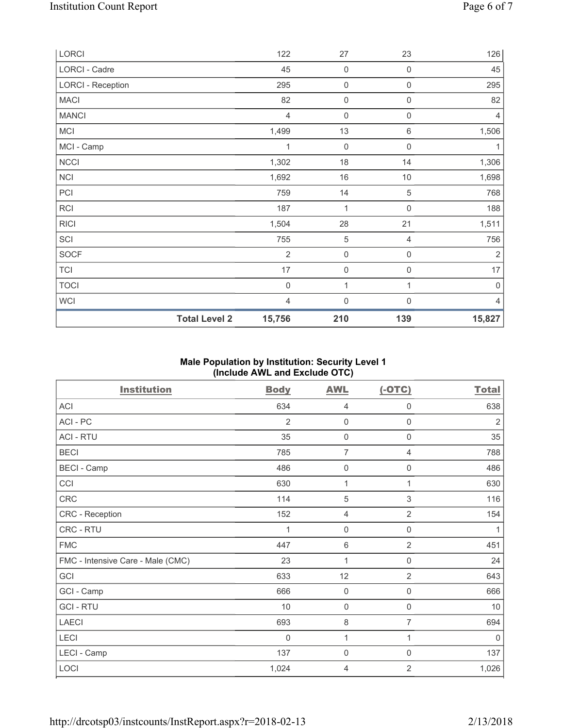| LORCI                    |                      | 122            | 27                  | 23                  | 126            |
|--------------------------|----------------------|----------------|---------------------|---------------------|----------------|
| LORCI - Cadre            |                      | 45             | $\mathsf{O}\xspace$ | 0                   | 45             |
| <b>LORCI - Reception</b> |                      | 295            | $\mathsf{O}\xspace$ | 0                   | 295            |
| <b>MACI</b>              |                      | 82             | $\mathsf{O}\xspace$ | 0                   | 82             |
| <b>MANCI</b>             |                      | $\overline{4}$ | $\mathsf{O}\xspace$ | 0                   | $\overline{4}$ |
| MCI                      |                      | 1,499          | 13                  | $\,6\,$             | 1,506          |
| MCI - Camp               |                      | 1              | $\mathbf 0$         | $\mathsf{O}\xspace$ | 1              |
| NCCI                     |                      | 1,302          | 18                  | 14                  | 1,306          |
| <b>NCI</b>               |                      | 1,692          | 16                  | $10$                | 1,698          |
| PCI                      |                      | 759            | 14                  | 5                   | 768            |
| <b>RCI</b>               |                      | 187            | 1                   | $\mathsf{0}$        | 188            |
| <b>RICI</b>              |                      | 1,504          | 28                  | 21                  | 1,511          |
| SCI                      |                      | 755            | $\sqrt{5}$          | 4                   | 756            |
| <b>SOCF</b>              |                      | $\overline{2}$ | $\mathsf{O}\xspace$ | 0                   | $\sqrt{2}$     |
| <b>TCI</b>               |                      | 17             | $\mathsf{O}\xspace$ | 0                   | $17\,$         |
| <b>TOCI</b>              |                      | $\mathbf 0$    | 1                   | 1                   | $\mathbf 0$    |
| WCI                      |                      | 4              | 0                   | 0                   | 4              |
|                          | <b>Total Level 2</b> | 15,756         | 210                 | 139                 | 15,827         |

# **Male Population by Institution: Security Level 1 (Include AWL and Exclude OTC)**

| <b>Institution</b>                | <b>Body</b>    | <b>AWL</b>     | $(-OTC)$       | <b>Total</b>   |
|-----------------------------------|----------------|----------------|----------------|----------------|
| ACI                               | 634            | $\overline{4}$ | $\mathsf{0}$   | 638            |
| ACI - PC                          | $\overline{2}$ | $\mathbf 0$    | $\mathsf{0}$   | $\overline{2}$ |
| <b>ACI - RTU</b>                  | 35             | $\mathsf{0}$   | $\mathsf{0}$   | 35             |
| <b>BECI</b>                       | 785            | $\overline{7}$ | $\overline{4}$ | 788            |
| <b>BECI</b> - Camp                | 486            | $\mathbf 0$    | 0              | 486            |
| CCI                               | 630            | 1              | 1              | 630            |
| CRC                               | 114            | 5              | $\sqrt{3}$     | 116            |
| CRC - Reception                   | 152            | $\overline{4}$ | $\overline{2}$ | 154            |
| CRC - RTU                         | 1              | $\mathbf 0$    | $\mathsf{0}$   | 1              |
| <b>FMC</b>                        | 447            | $\,6\,$        | $\overline{2}$ | 451            |
| FMC - Intensive Care - Male (CMC) | 23             | 1              | $\mathsf 0$    | 24             |
| GCI                               | 633            | 12             | $\overline{2}$ | 643            |
| GCI - Camp                        | 666            | $\mathsf 0$    | 0              | 666            |
| <b>GCI-RTU</b>                    | 10             | $\mathsf 0$    | $\mathsf 0$    | $10$           |
| <b>LAECI</b>                      | 693            | 8              | 7              | 694            |
| LECI                              | 0              | 1              | 1              | $\mathbf 0$    |
| LECI - Camp                       | 137            | $\mathbf 0$    | $\mathsf 0$    | 137            |
| LOCI                              | 1,024          | 4              | $\overline{2}$ | 1,026          |